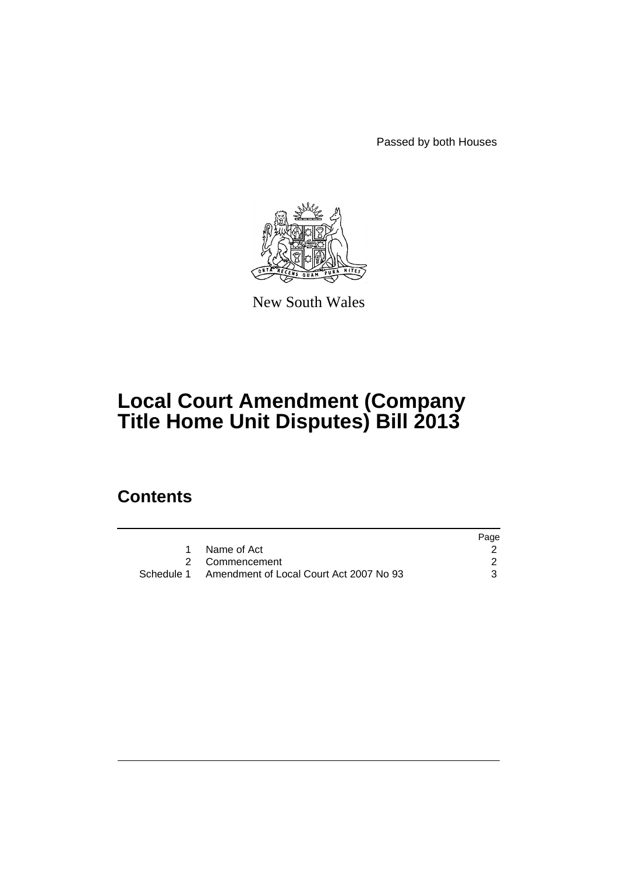Passed by both Houses



New South Wales

# **Local Court Amendment (Company Title Home Unit Disputes) Bill 2013**

## **Contents**

|                                                    | Page |
|----------------------------------------------------|------|
| Name of Act                                        |      |
| 2 Commencement                                     |      |
| Schedule 1 Amendment of Local Court Act 2007 No 93 |      |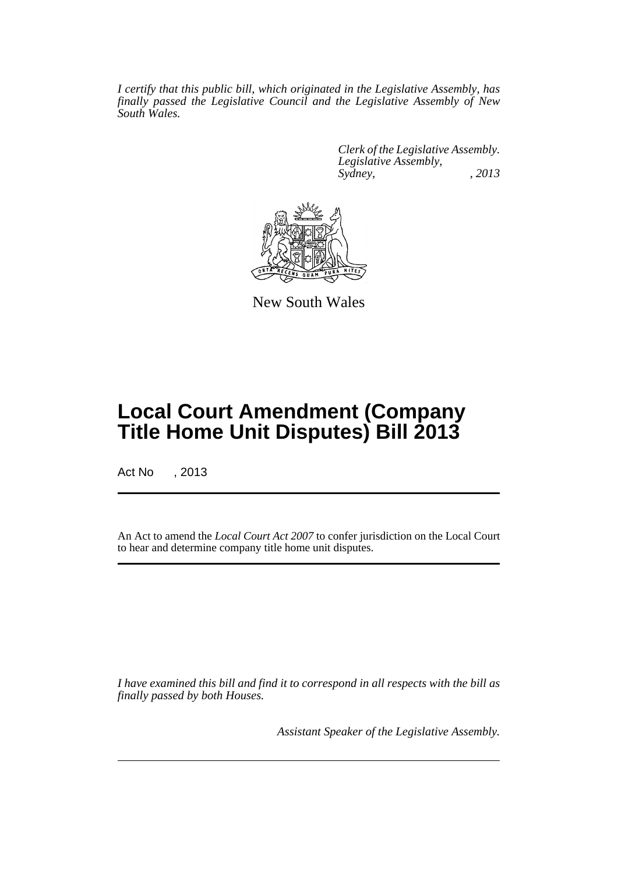*I certify that this public bill, which originated in the Legislative Assembly, has finally passed the Legislative Council and the Legislative Assembly of New South Wales.*

> *Clerk of the Legislative Assembly. Legislative Assembly, Sydney, , 2013*



New South Wales

## **Local Court Amendment (Company Title Home Unit Disputes) Bill 2013**

Act No , 2013

An Act to amend the *Local Court Act 2007* to confer jurisdiction on the Local Court to hear and determine company title home unit disputes.

*I have examined this bill and find it to correspond in all respects with the bill as finally passed by both Houses.*

*Assistant Speaker of the Legislative Assembly.*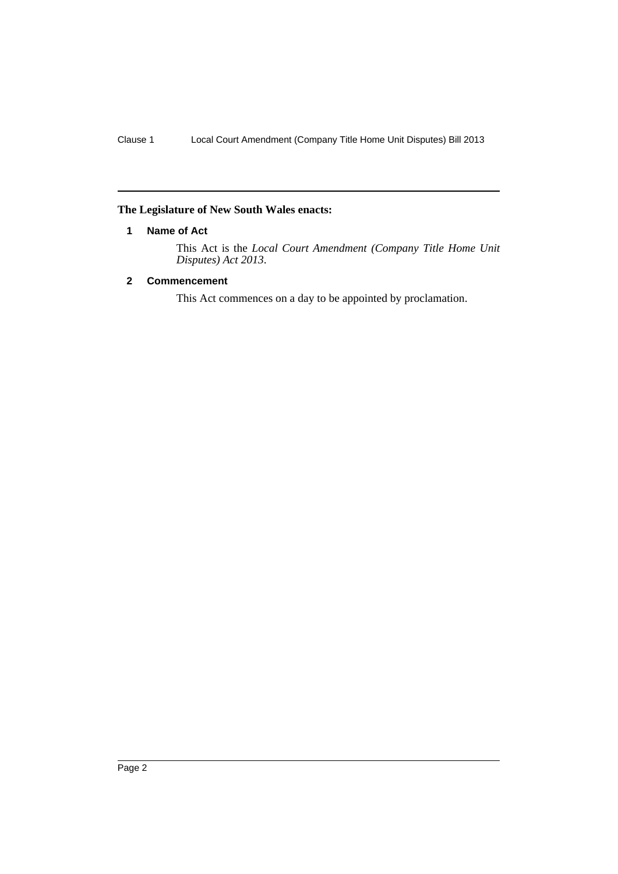#### <span id="page-3-0"></span>**The Legislature of New South Wales enacts:**

#### **1 Name of Act**

This Act is the *Local Court Amendment (Company Title Home Unit Disputes) Act 2013*.

#### <span id="page-3-1"></span>**2 Commencement**

This Act commences on a day to be appointed by proclamation.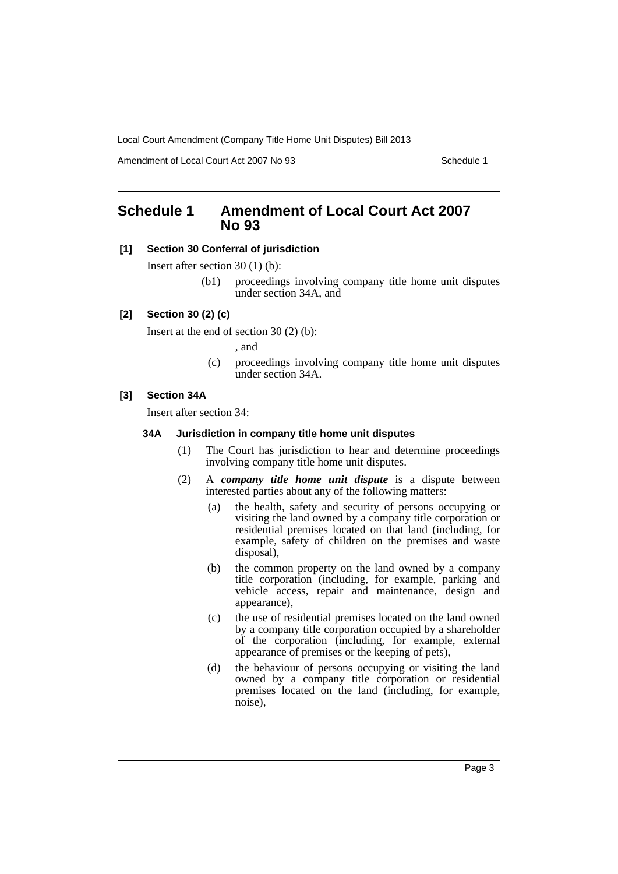Amendment of Local Court Act 2007 No 93 Schedule 1

### <span id="page-4-0"></span>**Schedule 1 Amendment of Local Court Act 2007 No 93**

#### **[1] Section 30 Conferral of jurisdiction**

Insert after section 30 (1) (b):

(b1) proceedings involving company title home unit disputes under section 34A, and

#### **[2] Section 30 (2) (c)**

Insert at the end of section 30 (2) (b):

, and

(c) proceedings involving company title home unit disputes under section 34A.

#### **[3] Section 34A**

Insert after section 34:

#### **34A Jurisdiction in company title home unit disputes**

- (1) The Court has jurisdiction to hear and determine proceedings involving company title home unit disputes.
- (2) A *company title home unit dispute* is a dispute between interested parties about any of the following matters:
	- (a) the health, safety and security of persons occupying or visiting the land owned by a company title corporation or residential premises located on that land (including, for example, safety of children on the premises and waste disposal),
	- (b) the common property on the land owned by a company title corporation (including, for example, parking and vehicle access, repair and maintenance, design and appearance),
	- (c) the use of residential premises located on the land owned by a company title corporation occupied by a shareholder of the corporation (including, for example, external appearance of premises or the keeping of pets),
	- (d) the behaviour of persons occupying or visiting the land owned by a company title corporation or residential premises located on the land (including, for example, noise),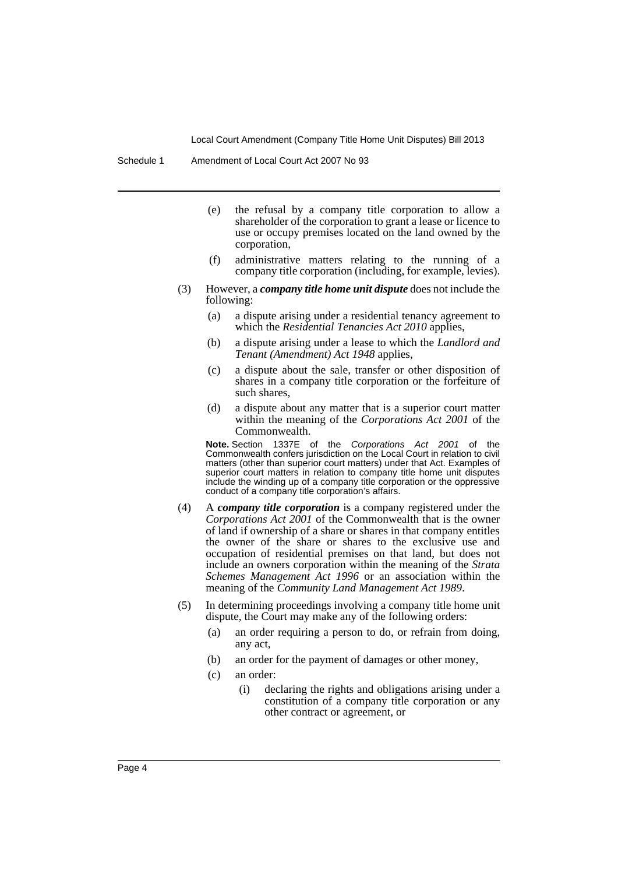Schedule 1 Amendment of Local Court Act 2007 No 93

- (e) the refusal by a company title corporation to allow a shareholder of the corporation to grant a lease or licence to use or occupy premises located on the land owned by the corporation,
- (f) administrative matters relating to the running of a company title corporation (including, for example, levies).
- (3) However, a *company title home unit dispute* does not include the following:
	- (a) a dispute arising under a residential tenancy agreement to which the *Residential Tenancies Act 2010* applies,
	- (b) a dispute arising under a lease to which the *Landlord and Tenant (Amendment) Act 1948* applies,
	- (c) a dispute about the sale, transfer or other disposition of shares in a company title corporation or the forfeiture of such shares,
	- (d) a dispute about any matter that is a superior court matter within the meaning of the *Corporations Act 2001* of the Commonwealth.

**Note.** Section 1337E of the *Corporations Act 2001* of the Commonwealth confers jurisdiction on the Local Court in relation to civil matters (other than superior court matters) under that Act. Examples of superior court matters in relation to company title home unit disputes include the winding up of a company title corporation or the oppressive conduct of a company title corporation's affairs.

- (4) A *company title corporation* is a company registered under the *Corporations Act 2001* of the Commonwealth that is the owner of land if ownership of a share or shares in that company entitles the owner of the share or shares to the exclusive use and occupation of residential premises on that land, but does not include an owners corporation within the meaning of the *Strata Schemes Management Act 1996* or an association within the meaning of the *Community Land Management Act 1989*.
- (5) In determining proceedings involving a company title home unit dispute, the Court may make any of the following orders:
	- (a) an order requiring a person to do, or refrain from doing, any act,
	- (b) an order for the payment of damages or other money,
	- (c) an order:
		- (i) declaring the rights and obligations arising under a constitution of a company title corporation or any other contract or agreement, or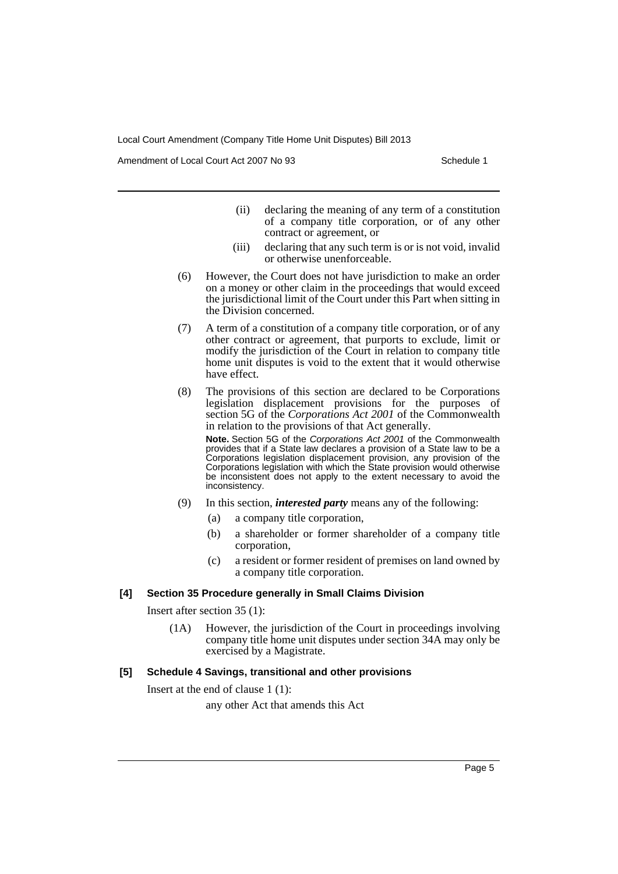Amendment of Local Court Act 2007 No 93 Schedule 1

- (ii) declaring the meaning of any term of a constitution of a company title corporation, or of any other contract or agreement, or
- (iii) declaring that any such term is or is not void, invalid or otherwise unenforceable.
- (6) However, the Court does not have jurisdiction to make an order on a money or other claim in the proceedings that would exceed the jurisdictional limit of the Court under this Part when sitting in the Division concerned.
- (7) A term of a constitution of a company title corporation, or of any other contract or agreement, that purports to exclude, limit or modify the jurisdiction of the Court in relation to company title home unit disputes is void to the extent that it would otherwise have effect.
- (8) The provisions of this section are declared to be Corporations legislation displacement provisions for the purposes of section 5G of the *Corporations Act 2001* of the Commonwealth in relation to the provisions of that Act generally.

**Note.** Section 5G of the *Corporations Act 2001* of the Commonwealth provides that if a State law declares a provision of a State law to be a Corporations legislation displacement provision, any provision of the Corporations legislation with which the State provision would otherwise be inconsistent does not apply to the extent necessary to avoid the inconsistency.

- (9) In this section, *interested party* means any of the following:
	- (a) a company title corporation,
	- (b) a shareholder or former shareholder of a company title corporation,
	- (c) a resident or former resident of premises on land owned by a company title corporation.

#### **[4] Section 35 Procedure generally in Small Claims Division**

Insert after section 35 (1):

(1A) However, the jurisdiction of the Court in proceedings involving company title home unit disputes under section 34A may only be exercised by a Magistrate.

#### **[5] Schedule 4 Savings, transitional and other provisions**

Insert at the end of clause 1 (1):

any other Act that amends this Act